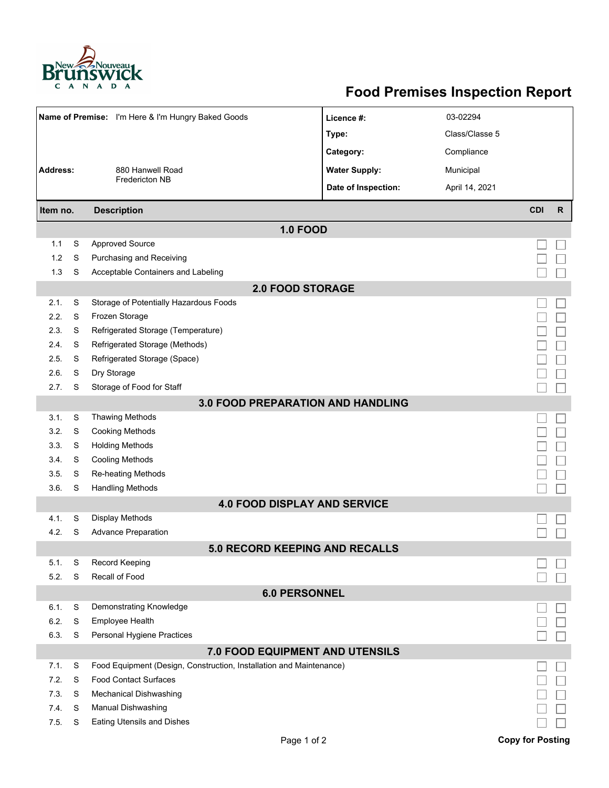

## **Food Premises Inspection Report**

| Name of Premise: I'm Here & I'm Hungry Baked Goods |   |                                                                     | Licence #:           | 03-02294       |                         |              |  |  |  |  |
|----------------------------------------------------|---|---------------------------------------------------------------------|----------------------|----------------|-------------------------|--------------|--|--|--|--|
|                                                    |   |                                                                     | Type:                | Class/Classe 5 |                         |              |  |  |  |  |
|                                                    |   |                                                                     | Category:            | Compliance     |                         |              |  |  |  |  |
| <b>Address:</b><br>880 Hanwell Road                |   |                                                                     | <b>Water Supply:</b> | Municipal      |                         |              |  |  |  |  |
|                                                    |   | Fredericton NB                                                      | Date of Inspection:  | April 14, 2021 |                         |              |  |  |  |  |
|                                                    |   |                                                                     |                      |                |                         |              |  |  |  |  |
| <b>Description</b><br>Item no.                     |   |                                                                     |                      |                | <b>CDI</b>              | $\mathsf{R}$ |  |  |  |  |
|                                                    |   | <b>1.0 FOOD</b>                                                     |                      |                |                         |              |  |  |  |  |
| 1.1                                                | S | <b>Approved Source</b>                                              |                      |                |                         |              |  |  |  |  |
| 1.2                                                | S | Purchasing and Receiving                                            |                      |                |                         |              |  |  |  |  |
| 1.3                                                | S | Acceptable Containers and Labeling                                  |                      |                |                         |              |  |  |  |  |
| <b>2.0 FOOD STORAGE</b>                            |   |                                                                     |                      |                |                         |              |  |  |  |  |
| 2.1.                                               | S | Storage of Potentially Hazardous Foods                              |                      |                |                         |              |  |  |  |  |
| 2.2.                                               | S | Frozen Storage                                                      |                      |                |                         |              |  |  |  |  |
| 2.3.                                               | S | Refrigerated Storage (Temperature)                                  |                      |                |                         |              |  |  |  |  |
| 2.4.                                               | S | Refrigerated Storage (Methods)                                      |                      |                |                         |              |  |  |  |  |
| 2.5.                                               | S | Refrigerated Storage (Space)                                        |                      |                |                         |              |  |  |  |  |
| 2.6.                                               | S | Dry Storage                                                         |                      |                |                         |              |  |  |  |  |
| 2.7.                                               | S | Storage of Food for Staff                                           |                      |                |                         |              |  |  |  |  |
| 3.0 FOOD PREPARATION AND HANDLING                  |   |                                                                     |                      |                |                         |              |  |  |  |  |
| 3.1.                                               | S | <b>Thawing Methods</b>                                              |                      |                |                         |              |  |  |  |  |
| 3.2.                                               | S | <b>Cooking Methods</b>                                              |                      |                |                         |              |  |  |  |  |
| 3.3.                                               | S | <b>Holding Methods</b>                                              |                      |                |                         |              |  |  |  |  |
| 3.4.                                               | S | <b>Cooling Methods</b>                                              |                      |                |                         |              |  |  |  |  |
| 3.5.                                               | S | Re-heating Methods                                                  |                      |                |                         |              |  |  |  |  |
| 3.6.                                               | S | <b>Handling Methods</b>                                             |                      |                |                         |              |  |  |  |  |
|                                                    |   | <b>4.0 FOOD DISPLAY AND SERVICE</b>                                 |                      |                |                         |              |  |  |  |  |
| 4.1.                                               | S | <b>Display Methods</b>                                              |                      |                |                         |              |  |  |  |  |
| 4.2.                                               | S | <b>Advance Preparation</b>                                          |                      |                |                         |              |  |  |  |  |
|                                                    |   | 5.0 RECORD KEEPING AND RECALLS                                      |                      |                |                         |              |  |  |  |  |
| 5.1.                                               | S | <b>Record Keeping</b>                                               |                      |                |                         |              |  |  |  |  |
| 5.2.                                               | S | Recall of Food                                                      |                      |                |                         |              |  |  |  |  |
| <b>6.0 PERSONNEL</b>                               |   |                                                                     |                      |                |                         |              |  |  |  |  |
| 6.1.                                               | S | Demonstrating Knowledge                                             |                      |                |                         |              |  |  |  |  |
| 6.2.                                               | S | Employee Health                                                     |                      |                |                         |              |  |  |  |  |
| 6.3.                                               | S | Personal Hygiene Practices                                          |                      |                |                         |              |  |  |  |  |
| 7.0 FOOD EQUIPMENT AND UTENSILS                    |   |                                                                     |                      |                |                         |              |  |  |  |  |
| 7.1.                                               | S | Food Equipment (Design, Construction, Installation and Maintenance) |                      |                |                         |              |  |  |  |  |
| 7.2.                                               | S | <b>Food Contact Surfaces</b>                                        |                      |                |                         |              |  |  |  |  |
| 7.3.                                               | S | <b>Mechanical Dishwashing</b>                                       |                      |                |                         |              |  |  |  |  |
| 7.4.                                               | S | Manual Dishwashing                                                  |                      |                |                         |              |  |  |  |  |
| 7.5.                                               | S | <b>Eating Utensils and Dishes</b>                                   |                      |                |                         |              |  |  |  |  |
|                                                    |   | Page 1 of 2                                                         |                      |                | <b>Copy for Posting</b> |              |  |  |  |  |